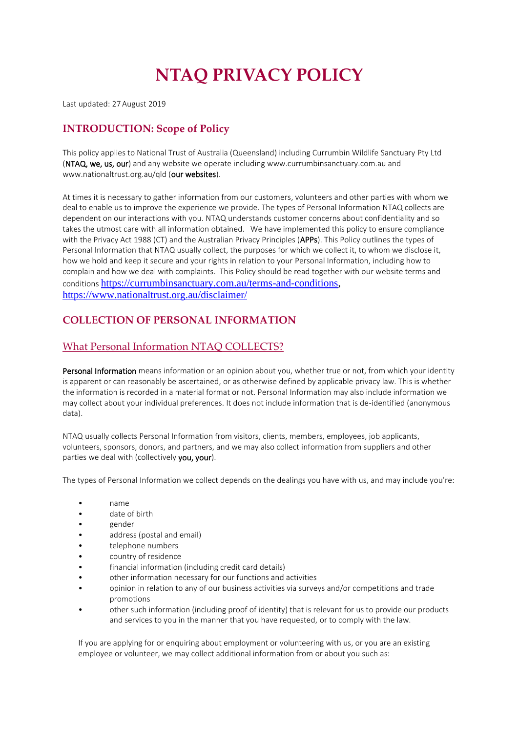# **NTAQ PRIVACY POLICY**

Last updated: 27 August 2019

#### **INTRODUCTION: Scope of Policy**

This policy applies to National Trust of Australia (Queensland) including Currumbin Wildlife Sanctuary Pty Ltd (NTAQ, we, us, our) and any website we operate including www.currumbinsanctuary.com.au and www.nationaltrust.org.au/qld (our websites).

At times it is necessary to gather information from our customers, volunteers and other parties with whom we deal to enable us to improve the experience we provide. The types of Personal Information NTAQ collects are dependent on our interactions with you. NTAQ understands customer concerns about confidentiality and so takes the utmost care with all information obtained. We have implemented this policy to ensure compliance with the Privacy Act 1988 (CT) and the Australian Privacy Principles (APPs). This Policy outlines the types of Personal Information that NTAQ usually collect, the purposes for which we collect it, to whom we disclose it, how we hold and keep it secure and your rights in relation to your Personal Information, including how to complain and how we deal with complaints. This Policy should be read together with our website terms and conditions [https://currumbinsanctuary.com.au/terms-and-conditions,](https://currumbinsanctuary.com.au/terms-and-conditions) <https://www.nationaltrust.org.au/disclaimer/>

#### **COLLECTION OF PERSONAL INFORMATION**

#### What Personal Information NTAQ COLLECTS?

Personal Information means information or an opinion about you, whether true or not, from which your identity is apparent or can reasonably be ascertained, or as otherwise defined by applicable privacy law. This is whether the information is recorded in a material format or not. Personal Information may also include information we may collect about your individual preferences. It does not include information that is de-identified (anonymous data).

NTAQ usually collects Personal Information from visitors, clients, members, employees, job applicants, volunteers, sponsors, donors, and partners, and we may also collect information from suppliers and other parties we deal with (collectively you, your).

The types of Personal Information we collect depends on the dealings you have with us, and may include you're:

- name
- date of birth
- gender
- address (postal and email)
- telephone numbers
- country of residence
- financial information (including credit card details)
- other information necessary for our functions and activities
- opinion in relation to any of our business activities via surveys and/or competitions and trade promotions
- other such information (including proof of identity) that is relevant for us to provide our products and services to you in the manner that you have requested, or to comply with the law.

If you are applying for or enquiring about employment or volunteering with us, or you are an existing employee or volunteer, we may collect additional information from or about you such as: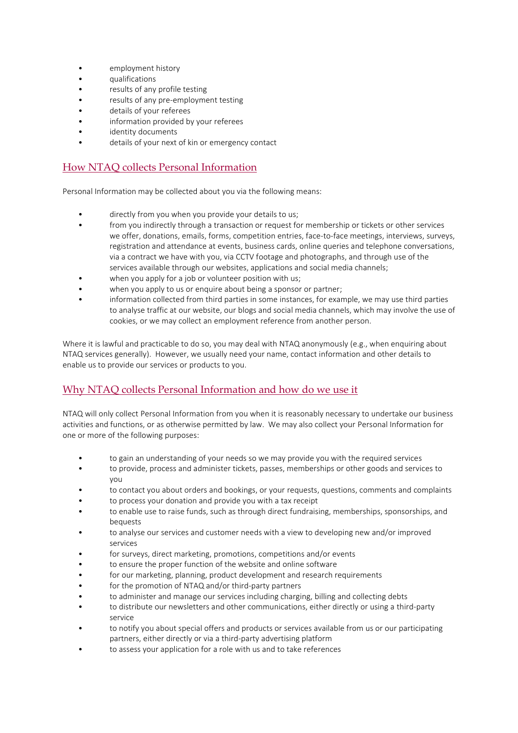- employment history
- qualifications
- results of any profile testing
- results of any pre-employment testing
- details of your referees
- information provided by your referees
- identity documents
- details of your next of kin or emergency contact

#### How NTAQ collects Personal Information

Personal Information may be collected about you via the following means:

- directly from you when you provide your details to us;
- from you indirectly through a transaction or request for membership or tickets or other services we offer, donations, emails, forms, competition entries, face-to-face meetings, interviews, surveys, registration and attendance at events, business cards, online queries and telephone conversations, via a contract we have with you, via CCTV footage and photographs, and through use of the services available through our websites, applications and social media channels;
- when you apply for a job or volunteer position with us;
- when you apply to us or enquire about being a sponsor or partner;
- information collected from third parties in some instances, for example, we may use third parties to analyse traffic at our website, our blogs and social media channels, which may involve the use of cookies, or we may collect an employment reference from another person.

Where it is lawful and practicable to do so, you may deal with NTAQ anonymously (e.g., when enquiring about NTAQ services generally). However, we usually need your name, contact information and other details to enable us to provide our services or products to you.

#### Why NTAQ collects Personal Information and how do we use it

NTAQ will only collect Personal Information from you when it is reasonably necessary to undertake our business activities and functions, or as otherwise permitted by law. We may also collect your Personal Information for one or more of the following purposes:

- to gain an understanding of your needs so we may provide you with the required services
- to provide, process and administer tickets, passes, memberships or other goods and services to you
- to contact you about orders and bookings, or your requests, questions, comments and complaints
- to process your donation and provide you with a tax receipt
- to enable use to raise funds, such as through direct fundraising, memberships, sponsorships, and bequests
- to analyse our services and customer needs with a view to developing new and/or improved services
- for surveys, direct marketing, promotions, competitions and/or events
- to ensure the proper function of the website and online software
- for our marketing, planning, product development and research requirements
- for the promotion of NTAQ and/or third-party partners
- to administer and manage our services including charging, billing and collecting debts
- to distribute our newsletters and other communications, either directly or using a third-party service
- to notify you about special offers and products or services available from us or our participating partners, either directly or via a third-party advertising platform
- to assess your application for a role with us and to take references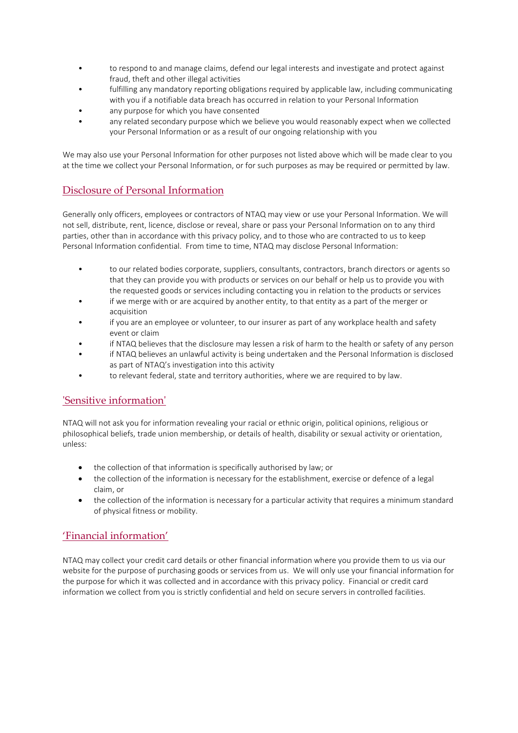- to respond to and manage claims, defend our legal interests and investigate and protect against fraud, theft and other illegal activities
- fulfilling any mandatory reporting obligations required by applicable law, including communicating with you if a notifiable data breach has occurred in relation to your Personal Information
- any purpose for which you have consented
- any related secondary purpose which we believe you would reasonably expect when we collected your Personal Information or as a result of our ongoing relationship with you

We may also use your Personal Information for other purposes not listed above which will be made clear to you at the time we collect your Personal Information, or for such purposes as may be required or permitted by law.

#### Disclosure of Personal Information

Generally only officers, employees or contractors of NTAQ may view or use your Personal Information. We will not sell, distribute, rent, licence, disclose or reveal, share or pass your Personal Information on to any third parties, other than in accordance with this privacy policy, and to those who are contracted to us to keep Personal Information confidential. From time to time, NTAQ may disclose Personal Information:

- to our related bodies corporate, suppliers, consultants, contractors, branch directors or agents so that they can provide you with products or services on our behalf or help us to provide you with the requested goods or services including contacting you in relation to the products or services
- if we merge with or are acquired by another entity, to that entity as a part of the merger or acquisition
- if you are an employee or volunteer, to our insurer as part of any workplace health and safety event or claim
- if NTAQ believes that the disclosure may lessen a risk of harm to the health or safety of any person
- if NTAQ believes an unlawful activity is being undertaken and the Personal Information is disclosed as part of NTAQ's investigation into this activity
- to relevant federal, state and territory authorities, where we are required to by law.

#### 'Sensitive information'

NTAQ will not ask you for information revealing your racial or ethnic origin, political opinions, religious or philosophical beliefs, trade union membership, or details of health, disability or sexual activity or orientation, unless:

- the collection of that information is specifically authorised by law; or
- the collection of the information is necessary for the establishment, exercise or defence of a legal claim, or
- the collection of the information is necessary for a particular activity that requires a minimum standard of physical fitness or mobility.

#### 'Financial information'

NTAQ may collect your credit card details or other financial information where you provide them to us via our website for the purpose of purchasing goods or services from us. We will only use your financial information for the purpose for which it was collected and in accordance with this privacy policy. Financial or credit card information we collect from you is strictly confidential and held on secure servers in controlled facilities.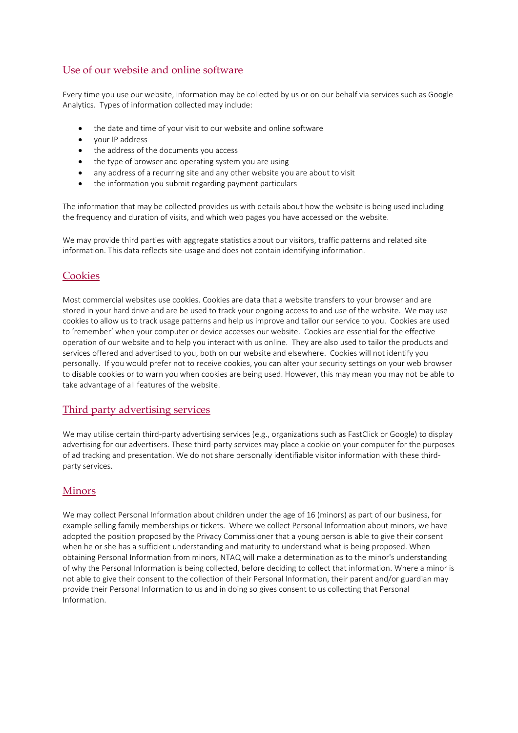#### Use of our website and online software

Every time you use our website, information may be collected by us or on our behalf via services such as Google Analytics. Types of information collected may include:

- the date and time of your visit to our website and online software
- your IP address
- the address of the documents you access
- the type of browser and operating system you are using
- any address of a recurring site and any other website you are about to visit
- the information you submit regarding payment particulars

The information that may be collected provides us with details about how the website is being used including the frequency and duration of visits, and which web pages you have accessed on the website.

We may provide third parties with aggregate statistics about our visitors, traffic patterns and related site information. This data reflects site-usage and does not contain identifying information.

#### **Cookies**

Most commercial websites use cookies. Cookies are data that a website transfers to your browser and are stored in your hard drive and are be used to track your ongoing access to and use of the website. We may use cookies to allow us to track usage patterns and help us improve and tailor our service to you. Cookies are used to 'remember' when your computer or device accesses our website. Cookies are essential for the effective operation of our website and to help you interact with us online. They are also used to tailor the products and services offered and advertised to you, both on our website and elsewhere. Cookies will not identify you personally. If you would prefer not to receive cookies, you can alter your security settings on your web browser to disable cookies or to warn you when cookies are being used. However, this may mean you may not be able to take advantage of all features of the website.

#### Third party advertising services

We may utilise certain third-party advertising services (e.g., organizations such as FastClick or Google) to display advertising for our advertisers. These third-party services may place a cookie on your computer for the purposes of ad tracking and presentation. We do not share personally identifiable visitor information with these thirdparty services.

#### Minors

We may collect Personal Information about children under the age of 16 (minors) as part of our business, for example selling family memberships or tickets. Where we collect Personal Information about minors, we have adopted the position proposed by the Privacy Commissioner that a young person is able to give their consent when he or she has a sufficient understanding and maturity to understand what is being proposed. When obtaining Personal Information from minors, NTAQ will make a determination as to the minor's understanding of why the Personal Information is being collected, before deciding to collect that information. Where a minor is not able to give their consent to the collection of their Personal Information, their parent and/or guardian may provide their Personal Information to us and in doing so gives consent to us collecting that Personal Information.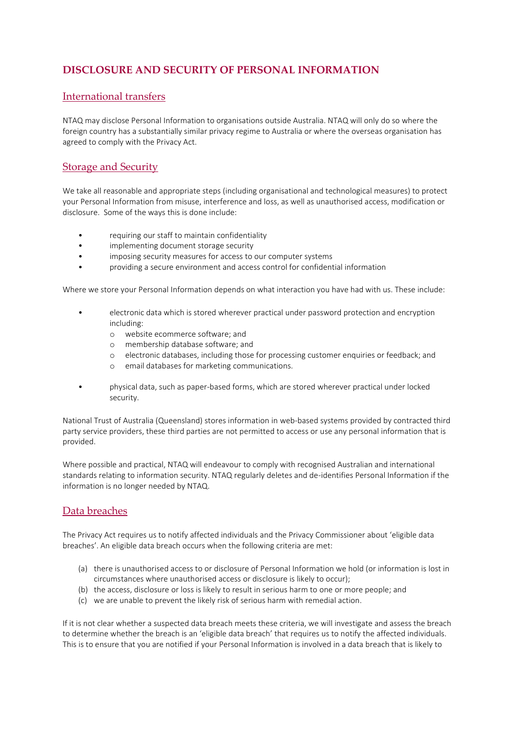## **DISCLOSURE AND SECURITY OF PERSONAL INFORMATION**

#### International transfers

NTAQ may disclose Personal Information to organisations outside Australia. NTAQ will only do so where the foreign country has a substantially similar privacy regime to Australia or where the overseas organisation has agreed to comply with the Privacy Act.

### Storage and Security

We take all reasonable and appropriate steps (including organisational and technological measures) to protect your Personal Information from misuse, interference and loss, as well as unauthorised access, modification or disclosure. Some of the ways this is done include:

- requiring our staff to maintain confidentiality
- implementing document storage security
- imposing security measures for access to our computer systems
- providing a secure environment and access control for confidential information

Where we store your Personal Information depends on what interaction you have had with us. These include:

- electronic data which is stored wherever practical under password protection and encryption including:
	- o website ecommerce software; and
	- o membership database software; and
	- o electronic databases, including those for processing customer enquiries or feedback; and
	- email databases for marketing communications.
- physical data, such as paper-based forms, which are stored wherever practical under locked security.

National Trust of Australia (Queensland) stores information in web-based systems provided by contracted third party service providers, these third parties are not permitted to access or use any personal information that is provided.

Where possible and practical, NTAQ will endeavour to comply with recognised Australian and international standards relating to information security. NTAQ regularly deletes and de-identifies Personal Information if the information is no longer needed by NTAQ.

#### Data breaches

The Privacy Act requires us to notify affected individuals and the Privacy Commissioner about 'eligible data breaches'. An eligible data breach occurs when the following criteria are met:

- (a) there is unauthorised access to or disclosure of Personal Information we hold (or information is lost in circumstances where unauthorised access or disclosure is likely to occur);
- (b) the access, disclosure or loss is likely to result in serious harm to one or more people; and
- (c) we are unable to prevent the likely risk of serious harm with remedial action.

If it is not clear whether a suspected data breach meets these criteria, we will investigate and assess the breach to determine whether the breach is an 'eligible data breach' that requires us to notify the affected individuals. This is to ensure that you are notified if your Personal Information is involved in a data breach that is likely to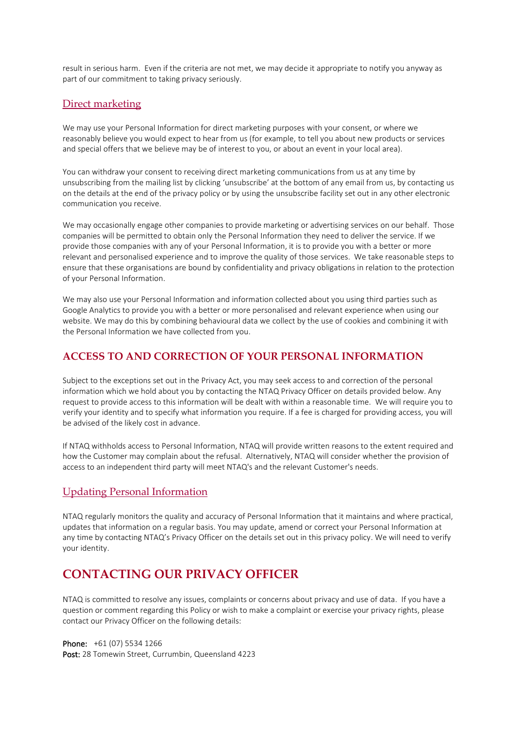result in serious harm. Even if the criteria are not met, we may decide it appropriate to notify you anyway as part of our commitment to taking privacy seriously.

#### Direct marketing

We may use your Personal Information for direct marketing purposes with your consent, or where we reasonably believe you would expect to hear from us (for example, to tell you about new products or services and special offers that we believe may be of interest to you, or about an event in your local area).

You can withdraw your consent to receiving direct marketing communications from us at any time by unsubscribing from the mailing list by clicking 'unsubscribe' at the bottom of any email from us, by contacting us on the details at the end of the privacy policy or by using the unsubscribe facility set out in any other electronic communication you receive.

We may occasionally engage other companies to provide marketing or advertising services on our behalf. Those companies will be permitted to obtain only the Personal Information they need to deliver the service. If we provide those companies with any of your Personal Information, it is to provide you with a better or more relevant and personalised experience and to improve the quality of those services. We take reasonable steps to ensure that these organisations are bound by confidentiality and privacy obligations in relation to the protection of your Personal Information.

We may also use your Personal Information and information collected about you using third parties such as Google Analytics to provide you with a better or more personalised and relevant experience when using our website. We may do this by combining behavioural data we collect by the use of cookies and combining it with the Personal Information we have collected from you.

#### **ACCESS TO AND CORRECTION OF YOUR PERSONAL INFORMATION**

Subject to the exceptions set out in the Privacy Act, you may seek access to and correction of the personal information which we hold about you by contacting the NTAQ Privacy Officer on details provided below. Any request to provide access to this information will be dealt with within a reasonable time. We will require you to verify your identity and to specify what information you require. If a fee is charged for providing access, you will be advised of the likely cost in advance.

If NTAQ withholds access to Personal Information, NTAQ will provide written reasons to the extent required and how the Customer may complain about the refusal. Alternatively, NTAQ will consider whether the provision of access to an independent third party will meet NTAQ's and the relevant Customer's needs.

#### Updating Personal Information

NTAQ regularly monitors the quality and accuracy of Personal Information that it maintains and where practical, updates that information on a regular basis. You may update, amend or correct your Personal Information at any time by contacting NTAQ's Privacy Officer on the details set out in this privacy policy. We will need to verify your identity.

## **CONTACTING OUR PRIVACY OFFICER**

NTAQ is committed to resolve any issues, complaints or concerns about privacy and use of data. If you have a question or comment regarding this Policy or wish to make a complaint or exercise your privacy rights, please contact our Privacy Officer on the following details:

Phone: +61 (07) 5534 1266 Post: 28 Tomewin Street, Currumbin, Queensland 4223